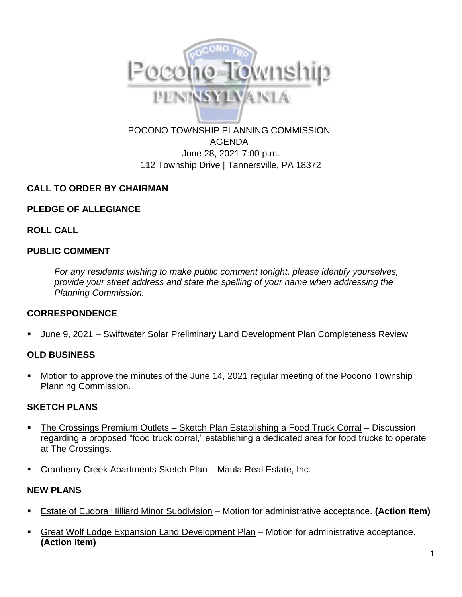

POCONO TOWNSHIP PLANNING COMMISSION AGENDA June 28, 2021 7:00 p.m. 112 Township Drive | Tannersville, PA 18372

## **CALL TO ORDER BY CHAIRMAN**

## **PLEDGE OF ALLEGIANCE**

**ROLL CALL**

## **PUBLIC COMMENT**

*For any residents wishing to make public comment tonight, please identify yourselves, provide your street address and state the spelling of your name when addressing the Planning Commission.*

### **CORRESPONDENCE**

June 9, 2021 – Swiftwater Solar Preliminary Land Development Plan Completeness Review

### **OLD BUSINESS**

■ Motion to approve the minutes of the June 14, 2021 regular meeting of the Pocono Township Planning Commission.

## **SKETCH PLANS**

- The Crossings Premium Outlets Sketch Plan Establishing a Food Truck Corral Discussion regarding a proposed "food truck corral," establishing a dedicated area for food trucks to operate at The Crossings.
- Cranberry Creek Apartments Sketch Plan Maula Real Estate, Inc.

### **NEW PLANS**

- Estate of Eudora Hilliard Minor Subdivision Motion for administrative acceptance. **(Action Item)**
- Great Wolf Lodge Expansion Land Development Plan Motion for administrative acceptance. **(Action Item)**